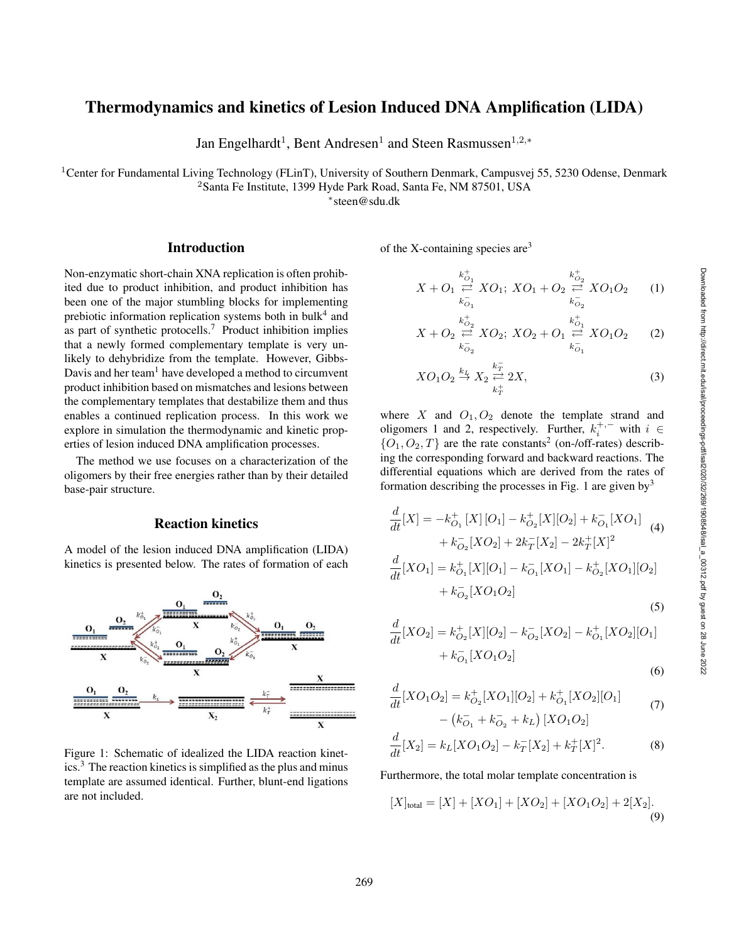# Thermodynamics and kinetics of Lesion Induced DNA Amplification (LIDA)

Jan Engelhardt<sup>1</sup>, Bent Andresen<sup>1</sup> and Steen Rasmussen<sup>1,2,\*</sup>

<sup>1</sup>Center for Fundamental Living Technology (FLinT), University of Southern Denmark, Campusvej 55, 5230 Odense, Denmark

<sup>2</sup>Santa Fe Institute, 1399 Hyde Park Road, Santa Fe, NM 87501, USA

∗ steen@sdu.dk

### Introduction

Non-enzymatic short-chain XNA replication is often prohibited due to product inhibition, and product inhibition has been one of the major stumbling blocks for implementing prebiotic information replication systems both in bulk<sup>4</sup> and as part of synthetic protocells.<sup>7</sup> Product inhibition implies that a newly formed complementary template is very unlikely to dehybridize from the template. However, Gibbs-Davis and her team<sup>1</sup> have developed a method to circumvent product inhibition based on mismatches and lesions between the complementary templates that destabilize them and thus enables a continued replication process. In this work we explore in simulation the thermodynamic and kinetic properties of lesion induced DNA amplification processes.

The method we use focuses on a characterization of the oligomers by their free energies rather than by their detailed base-pair structure.

## Reaction kinetics

A model of the lesion induced DNA amplification (LIDA) kinetics is presented below. The rates of formation of each



Figure 1: Schematic of idealized the LIDA reaction kinetics.<sup>3</sup> The reaction kinetics is simplified as the plus and minus template are assumed identical. Further, blunt-end ligations are not included.

of the X-containing species are<sup>3</sup>

$$
X + O_1 \stackrel{k_{O_1}^+}{\underset{k_{O_1}^-}{\rightleftharpoons}} XO_1; XO_1 + O_2 \stackrel{k_{O_2}^+}{\underset{k_{O_2}^-}{\rightleftharpoons}} XO_1O_2 \qquad (1)
$$

$$
X + O_2 \stackrel{k_{O_2}^+}{\rightleftharpoons} XO_2; \ XO_2 + O_1 \stackrel{k_{O_1}^+}{\rightleftharpoons} XO_1O_2 \tag{2}
$$

$$
XO_1O_2 \stackrel{k_L}{\rightarrow} X_2 \stackrel{k_T^-}{\underset{k_T^+}{\rightleftarrows}} 2X,\tag{3}
$$

where X and  $O_1$ ,  $O_2$  denote the template strand and oligomers 1 and 2, respectively. Further,  $k_i^{+,-}$  with  $i \in$  $\{O_1, O_2, T\}$  are the rate constants<sup>2</sup> (on-/off-rates) describing the corresponding forward and backward reactions. The differential equations which are derived from the rates of formation describing the processes in Fig. 1 are given by  $3$ 

$$
\frac{d}{dt}[X] = -k_{O_1}^+[X][O_1] - k_{O_2}^+[X][O_2] + k_{O_1}^-[XO_1]
$$
\n
$$
+ k_{O_2}^-[XO_2] + 2k_T^-[X_2] - 2k_T^+[X]^2
$$
\n
$$
\frac{d}{dt}[XO_1] = k_{O_1}^+[X][O_1] - k_{O_1}^-[XO_1] - k_{O_2}^+[XO_1][O_2]
$$
\n
$$
+ k_{O_2}^-[XO_1O_2]
$$
\n
$$
(5)
$$

$$
(5)
$$

$$
\frac{d}{dt}[XO_2] = k_{O_2}^+[X][O_2] - k_{O_2}^-[XO_2] - k_{O_1}^+[XO_2][O_1] \n+ k_{O_1}^-[XO_1O_2]
$$
\n(6)

$$
\frac{d}{dt}[XO_1O_2] = k_{O_2}^+[XO_1][O_2] + k_{O_1}^+[XO_2][O_1] \n- (k_{O_1}^- + k_{O_2}^- + k_L)[XO_1O_2]
$$
\n(7)

$$
\frac{d}{dt}[X_2] = k_L[XO_1O_2] - k_T^-[X_2] + k_T^+[X]^2.
$$
 (8)

#### Furthermore, the total molar template concentration is

$$
[X]_{\text{total}} = [X] + [XO_1] + [XO_2] + [XO_1O_2] + 2[X_2].
$$
\n(9)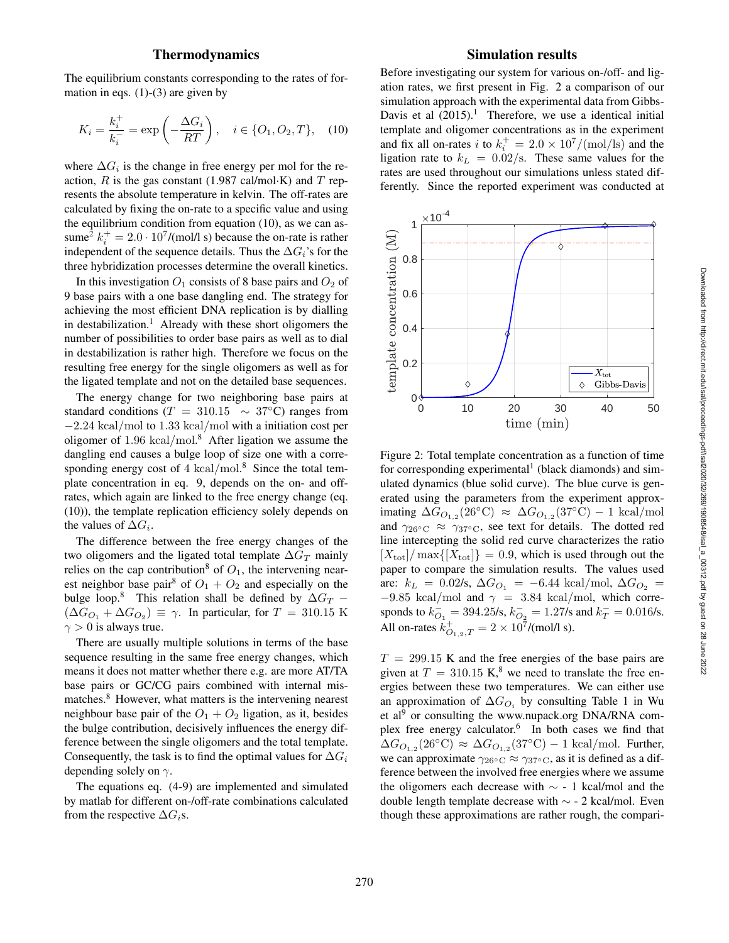## Thermodynamics

The equilibrium constants corresponding to the rates of formation in eqs.  $(1)-(3)$  are given by

$$
K_i = \frac{k_i^+}{k_i^-} = \exp\left(-\frac{\Delta G_i}{RT}\right), \quad i \in \{O_1, O_2, T\}, \quad (10)
$$

where  $\Delta G_i$  is the change in free energy per mol for the reaction,  $R$  is the gas constant (1.987 cal/mol·K) and  $T$  represents the absolute temperature in kelvin. The off-rates are calculated by fixing the on-rate to a specific value and using the equilibrium condition from equation (10), as we can assume<sup>2</sup>  $k_i^+ = 2.0 \cdot 10^7 / (mol/l s)$  because the on-rate is rather independent of the sequence details. Thus the  $\Delta G_i$ 's for the three hybridization processes determine the overall kinetics.

In this investigation  $O_1$  consists of 8 base pairs and  $O_2$  of 9 base pairs with a one base dangling end. The strategy for achieving the most efficient DNA replication is by dialling in destabilization. <sup>1</sup> Already with these short oligomers the number of possibilities to order base pairs as well as to dial in destabilization is rather high. Therefore we focus on the resulting free energy for the single oligomers as well as for the ligated template and not on the detailed base sequences.

The energy change for two neighboring base pairs at standard conditions ( $T = 310.15 \sim 37$ °C) ranges from − 2 .24 kcal /mol to 1 .33 kcal /mol with a initiation cost per oligomer of  $1.96 \text{ kcal/mol}$ .<sup>8</sup> After ligation we assume the dangling end causes a bulge loop of size one with a corresponding energy cost of  $4 \text{ kcal/mol}^8$ . Since the total template concentration in eq. 9, depends on the on- and offrates, which again are linked to the free energy change (eq. (10)), the template replication efficiency solely depends on the values of  $\Delta G_i$ .

The difference between the free energy changes of the two oligomers and the ligated total template  $\Delta G_T$  mainly relies on the cap contribution<sup>8</sup> of  $O_1$ , the intervening nearest neighbor base pair<sup>8</sup> of  $O_1 + O_2$  and especially on the bulge loop.<sup>8</sup> This relation shall be defined by  $\Delta G_T$  –  $(\Delta G_{O_1} + \Delta G_{O_2}) \equiv \gamma$ . In particular, for  $T = 310.15$  K  $\gamma > 0$  is always true.

There are usually multiple solutions in terms of the base sequence resulting in the same free energy changes, which means it does not matter whether there e.g. are more AT/TA base pairs or GC/CG pairs combined with internal mismatches.<sup>8</sup> However, what matters is the intervening nearest neighbour base pair of the  $O_1 + O_2$  ligation, as it, besides the bulge contribution, decisively influences the energy difference between the single oligomers and the total template. Consequently, the task is to find the optimal values for  $\Delta G_i$ depending solely on  $\gamma$ .

The equations eq. (4-9) are implemented and simulated by matlab for different on-/off-rate combinations calculated from the respective  $\Delta G_i$ s.

## Simulation results

Before investigating our system for various on-/off- and ligation rates, we first present in Fig. 2 a comparison of our simulation approach with the experimental data from Gibbs-Davis et al  $(2015).<sup>1</sup>$  Therefore, we use a identical initial template and oligomer concentrations as in the experiment and fix all on-rates *i* to  $k_i^+ = 2.0 \times 10^7/(\text{mol}/\text{ls})$  and the ligation rate to  $k_L = 0.02$ /s. These same values for the rates are used throughout our simulations unless stated differently. Since the reported experiment was conducted at



Figure 2: Total template concentration as a function of time for corresponding experimental<sup>1</sup> (black diamonds) and simulated dynamics (blue solid curve). The blue curve is generated using the parameters from the experiment approximating  $\Delta G_{O_{1,2}}(26^{\circ}\text{C}) \approx \Delta G_{O_{1,2}}(37^{\circ}\text{C}) - 1 \text{ kcal/mol}$ and  $\gamma_{26} \circ \text{C} \approx \gamma_{37} \circ \text{C}$ , see text for details. The dotted red line intercepting the solid red curve characterizes the ratio  $[X_{\text{tot}}]$  max $\{[X_{\text{tot}}]\} = 0.9$ , which is used through out the paper to compare the simulation results. The values used are:  $k_L = 0.02$ /s,  $\Delta G_{O_1} = -6.44$  kcal/mol,  $\Delta G_{O_2} =$  $-9.85$  kcal/mol and  $\gamma = 3.84$  kcal/mol, which corresponds to  $k_{O_1}^-$  = 394.25/s,  $k_{O_2}^-$  = 1.27/s and  $k_T^-$  = 0.016/s. All on-rates  $k_{O_{1,2},T}^+ = 2 \times 10^7 / (mol/l s)$ .

 $T = 299.15$  K and the free energies of the base pairs are given at  $T = 310.15$  K,<sup>8</sup> we need to translate the free energies between these two temperatures. We can either use an approximation of  $\Delta G_{O_i}$  by consulting Table 1 in Wu et al<sup>9</sup> or consulting the www.nupack.org DNA/RNA complex free energy calculator.<sup>6</sup> In both cases we find that  $\Delta G_{O_{1,2}}(26^{\circ}\text{C}) \approx \Delta G_{O_{1,2}}(37^{\circ}\text{C}) - 1 \text{ kcal/mol}$ . Further, we can approximate  $\gamma_{26\degree\text{C}} \approx \gamma_{37\degree\text{C}}$ , as it is defined as a difference between the involved free energies where we assume the oligomers each decrease with  $\sim$  - 1 kcal/mol and the double length template decrease with  $\sim$  - 2 kcal/mol. Even though these approximations are rather rough, the compari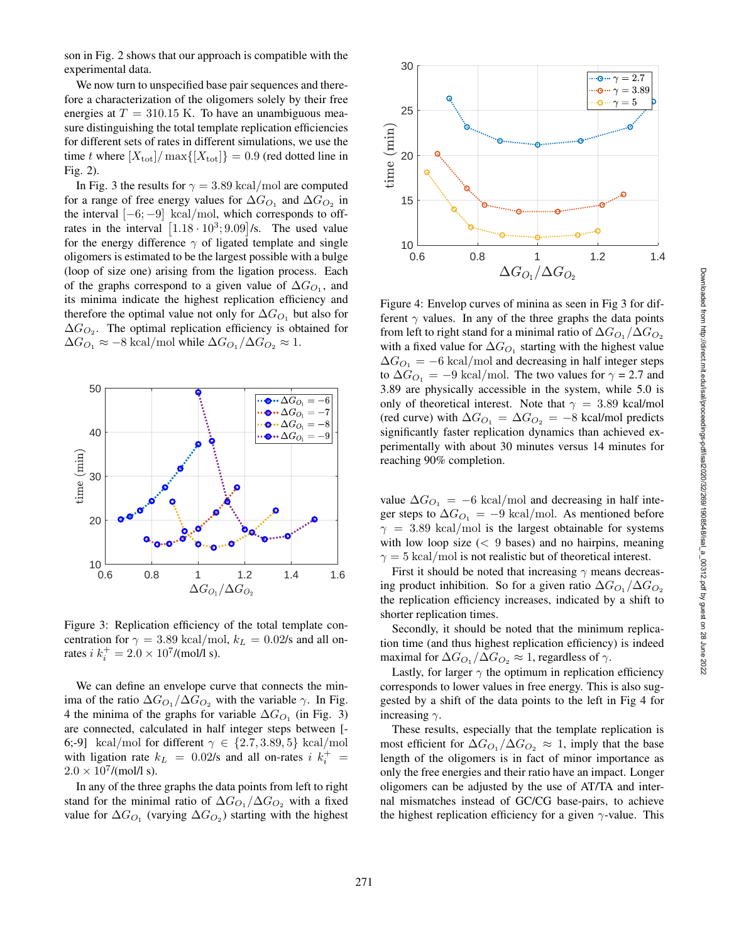son in Fig. 2 shows that our approach is compatible with the experimental data.

We now turn to unspecified base pair sequences and therefore a characterization of the oligomers solely by their free energies at  $T = 310.15$  K. To have an unambiguous measure distinguishing the total template replication efficiencies for different sets of rates in different simulations, we use the time t where  $[X_{\text{tot}}]$  /  $\max\{[X_{\text{tot}}]\}=0.9$  (red dotted line in Fig. 2).

In Fig. 3 the results for  $\gamma = 3.89 \text{ kcal/mol}$  are computed for a range of free energy values for  $\Delta G_{O_1}$  and  $\Delta G_{O_2}$  in the interval  $[-6, -9]$  kcal/mol, which corresponds to offrates in the interval  $[1.18 \cdot 10^3; 9.09]$ /s. The used value for the energy difference  $\gamma$  of ligated template and single oligomers is estimated to be the largest possible with a bulge (loop of size one) arising from the ligation process. Each of the graphs correspond to a given value of  $\Delta G_{O_1}$ , and its minima indicate the highest replication efficiency and therefore the optimal value not only for  $\Delta G_{O_1}$  but also for  $\Delta G_{O_2}$ . The optimal replication efficiency is obtained for  $\Delta G_{O_1} \approx -8$  kcal/mol while  $\Delta G_{O_1}/\Delta G_{O_2} \approx 1$ .



Figure 3: Replication efficiency of the total template concentration for  $\gamma = 3.89 \text{ kcal/mol}, k_L = 0.02/\text{s}$  and all onrates  $i k_i^+ = 2.0 \times 10^7 / (mol/l s)$ .

We can define an envelope curve that connects the minima of the ratio  $\Delta G_{O_1}/\Delta G_{O_2}$  with the variable  $\gamma$ . In Fig. 4 the minima of the graphs for variable  $\Delta G_{O_1}$  (in Fig. 3) are connected, calculated in half integer steps between [- 6;-9] kcal/mol for different  $\gamma \in \{2.7, 3.89, 5\}$  kcal/mol with ligation rate  $k_L = 0.02$ /s and all on-rates  $i k_i^+ =$  $2.0 \times 10^7 / (mol/l s).$ 

In any of the three graphs the data points from left to right stand for the minimal ratio of  $\Delta G_{O_1}/\Delta G_{O_2}$  with a fixed value for  $\Delta G_{O_1}$  (varying  $\Delta G_{O_2}$ ) starting with the highest



Figure 4: Envelop curves of minina as seen in Fig 3 for different  $\gamma$  values. In any of the three graphs the data points from left to right stand for a minimal ratio of  $\Delta G_{O_1}/\Delta G_{O_2}$ with a fixed value for  $\Delta G_{O_1}$  starting with the highest value  $\Delta G_{O_1} = -6 \text{ kcal/mol}$  and decreasing in half integer steps to  $\Delta G_{O_1} = -9$  kcal/mol. The two values for  $\gamma = 2.7$  and 3.89 are physically accessible in the system, while 5.0 is only of theoretical interest. Note that  $\gamma = 3.89$  kcal/mol (red curve) with  $\Delta G_{O_1} = \Delta G_{O_2} = -8$  kcal/mol predicts significantly faster replication dynamics than achieved experimentally with about 30 minutes versus 14 minutes for reaching 90% completion.

value  $\Delta G_{O_1} = -6$  kcal/mol and decreasing in half integer steps to  $\Delta G_{O_1} = -9$  kcal/mol. As mentioned before  $\gamma = 3.89$  kcal/mol is the largest obtainable for systems with low loop size (< 9 bases) and no hairpins, meaning  $\gamma = 5 \text{ kcal/mol}$  is not realistic but of theoretical interest.

First it should be noted that increasing  $\gamma$  means decreasing product inhibition. So for a given ratio  $\Delta G_{O_1}/\Delta G_{O_2}$ the replication efficiency increases, indicated by a shift to shorter replication times.

Secondly, it should be noted that the minimum replication time (and thus highest replication efficiency) is indeed maximal for  $\Delta G_{O_1}/\Delta G_{O_2} \approx 1$ , regardless of  $\gamma$ .

Lastly, for larger  $\gamma$  the optimum in replication efficiency corresponds to lower values in free energy. This is also suggested by a shift of the data points to the left in Fig 4 for increasing  $\gamma$ .

These results, especially that the template replication is most efficient for  $\Delta G_{O_1}/\Delta G_{O_2} \approx 1$ , imply that the base length of the oligomers is in fact of minor importance as only the free energies and their ratio have an impact. Longer oligomers can be adjusted by the use of AT/TA and internal mismatches instead of GC/CG base-pairs, to achieve the highest replication efficiency for a given  $\gamma$ -value. This